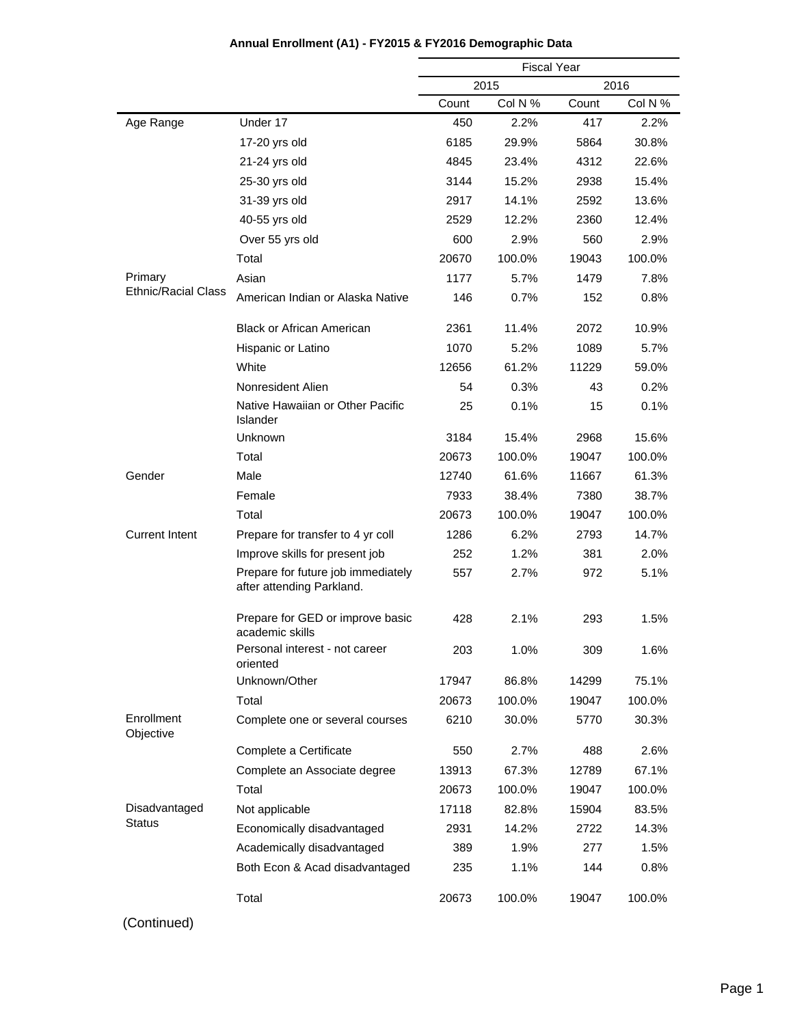|                            |                                                                 |       | <b>Fiscal Year</b> |       |         |
|----------------------------|-----------------------------------------------------------------|-------|--------------------|-------|---------|
|                            |                                                                 |       | 2015               |       | 2016    |
|                            |                                                                 | Count | Col N %            | Count | Col N % |
| Age Range                  | Under 17                                                        | 450   | 2.2%               | 417   | 2.2%    |
|                            | 17-20 yrs old                                                   | 6185  | 29.9%              | 5864  | 30.8%   |
|                            | 21-24 yrs old                                                   | 4845  | 23.4%              | 4312  | 22.6%   |
|                            | 25-30 yrs old                                                   | 3144  | 15.2%              | 2938  | 15.4%   |
|                            | 31-39 yrs old                                                   | 2917  | 14.1%              | 2592  | 13.6%   |
|                            | 40-55 yrs old                                                   | 2529  | 12.2%              | 2360  | 12.4%   |
|                            | Over 55 yrs old                                                 | 600   | 2.9%               | 560   | 2.9%    |
|                            | Total                                                           | 20670 | 100.0%             | 19043 | 100.0%  |
| Primary                    | Asian                                                           | 1177  | 5.7%               | 1479  | 7.8%    |
| <b>Ethnic/Racial Class</b> | American Indian or Alaska Native                                | 146   | 0.7%               | 152   | 0.8%    |
|                            | <b>Black or African American</b>                                | 2361  | 11.4%              | 2072  | 10.9%   |
|                            | Hispanic or Latino                                              | 1070  | 5.2%               | 1089  | 5.7%    |
|                            | White                                                           | 12656 | 61.2%              | 11229 | 59.0%   |
|                            | Nonresident Alien                                               | 54    | $0.3\%$            | 43    | 0.2%    |
|                            | Native Hawaiian or Other Pacific<br>Islander                    | 25    | 0.1%               | 15    | 0.1%    |
|                            | Unknown                                                         | 3184  | 15.4%              | 2968  | 15.6%   |
|                            | Total                                                           | 20673 | 100.0%             | 19047 | 100.0%  |
| Gender                     | Male                                                            | 12740 | 61.6%              | 11667 | 61.3%   |
|                            | Female                                                          | 7933  | 38.4%              | 7380  | 38.7%   |
|                            | Total                                                           | 20673 | 100.0%             | 19047 | 100.0%  |
| <b>Current Intent</b>      | Prepare for transfer to 4 yr coll                               | 1286  | 6.2%               | 2793  | 14.7%   |
|                            | Improve skills for present job                                  | 252   | 1.2%               | 381   | 2.0%    |
|                            | Prepare for future job immediately<br>after attending Parkland. | 557   | 2.7%               | 972   | 5.1%    |
|                            | Prepare for GED or improve basic<br>academic skills             | 428   | 2.1%               | 293   | 1.5%    |
|                            | Personal interest - not career<br>oriented                      | 203   | 1.0%               | 309   | 1.6%    |
|                            | Unknown/Other                                                   | 17947 | 86.8%              | 14299 | 75.1%   |
|                            | Total                                                           | 20673 | 100.0%             | 19047 | 100.0%  |
| Enrollment<br>Objective    | Complete one or several courses                                 | 6210  | 30.0%              | 5770  | 30.3%   |
|                            | Complete a Certificate                                          | 550   | 2.7%               | 488   | 2.6%    |
|                            | Complete an Associate degree                                    | 13913 | 67.3%              | 12789 | 67.1%   |
|                            | Total                                                           | 20673 | 100.0%             | 19047 | 100.0%  |
| Disadvantaged              | Not applicable                                                  | 17118 | 82.8%              | 15904 | 83.5%   |
| <b>Status</b>              | Economically disadvantaged                                      | 2931  | 14.2%              | 2722  | 14.3%   |
|                            | Academically disadvantaged                                      | 389   | 1.9%               | 277   | 1.5%    |
|                            | Both Econ & Acad disadvantaged                                  | 235   | 1.1%               | 144   | 0.8%    |
|                            | Total                                                           | 20673 | 100.0%             | 19047 | 100.0%  |

# **Annual Enrollment (A1) - FY2015 & FY2016 Demographic Data**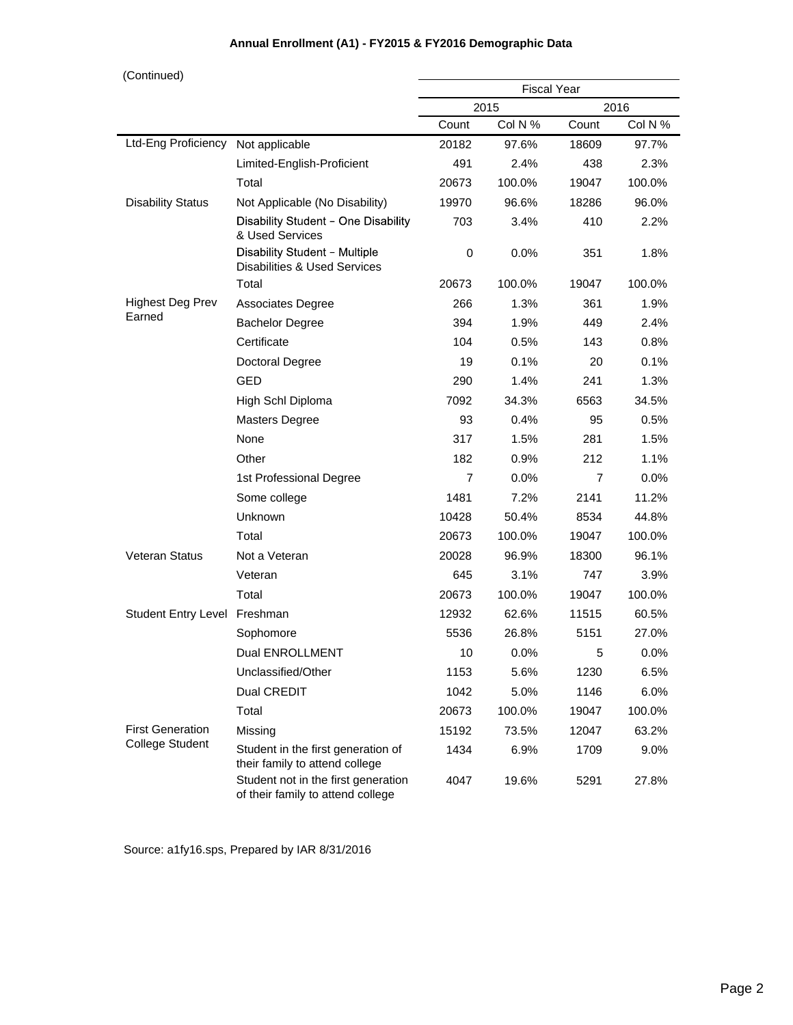## **Annual Enrollment (A1) - FY2015 & FY2016 Demographic Data**

| (Continued)                        |                                                                          |                | <b>Fiscal Year</b> |       |         |
|------------------------------------|--------------------------------------------------------------------------|----------------|--------------------|-------|---------|
|                                    |                                                                          | 2015           |                    | 2016  |         |
|                                    |                                                                          | Count          | Col N %            | Count | Col N % |
| Ltd-Eng Proficiency Not applicable |                                                                          | 20182          | 97.6%              | 18609 | 97.7%   |
|                                    | Limited-English-Proficient                                               | 491            | 2.4%               | 438   | 2.3%    |
|                                    | Total                                                                    | 20673          | 100.0%             | 19047 | 100.0%  |
| <b>Disability Status</b>           | Not Applicable (No Disability)                                           | 19970          | 96.6%              | 18286 | 96.0%   |
|                                    | Disability Student - One Disability<br>& Used Services                   | 703            | 3.4%               | 410   | 2.2%    |
|                                    | Disability Student - Multiple<br>Disabilities & Used Services            | 0              | 0.0%               | 351   | 1.8%    |
|                                    | Total                                                                    | 20673          | 100.0%             | 19047 | 100.0%  |
| <b>Highest Deg Prev</b>            | Associates Degree                                                        | 266            | 1.3%               | 361   | 1.9%    |
| Earned                             | <b>Bachelor Degree</b>                                                   | 394            | 1.9%               | 449   | 2.4%    |
|                                    | Certificate                                                              | 104            | 0.5%               | 143   | 0.8%    |
|                                    | Doctoral Degree                                                          | 19             | 0.1%               | 20    | 0.1%    |
|                                    | <b>GED</b>                                                               | 290            | 1.4%               | 241   | 1.3%    |
|                                    | High Schl Diploma                                                        | 7092           | 34.3%              | 6563  | 34.5%   |
|                                    | <b>Masters Degree</b>                                                    | 93             | 0.4%               | 95    | 0.5%    |
|                                    | None                                                                     | 317            | 1.5%               | 281   | 1.5%    |
|                                    | Other                                                                    | 182            | 0.9%               | 212   | 1.1%    |
|                                    | 1st Professional Degree                                                  | $\overline{7}$ | $0.0\%$            | 7     | $0.0\%$ |
|                                    | Some college                                                             | 1481           | 7.2%               | 2141  | 11.2%   |
|                                    | Unknown                                                                  | 10428          | 50.4%              | 8534  | 44.8%   |
|                                    | Total                                                                    | 20673          | 100.0%             | 19047 | 100.0%  |
| <b>Veteran Status</b>              | Not a Veteran                                                            | 20028          | 96.9%              | 18300 | 96.1%   |
|                                    | Veteran                                                                  | 645            | 3.1%               | 747   | $3.9\%$ |
|                                    | Total                                                                    | 20673          | 100.0%             | 19047 | 100.0%  |
| Student Entry Level Freshman       |                                                                          | 12932          | 62.6%              | 11515 | 60.5%   |
|                                    | Sophomore                                                                | 5536           | 26.8%              | 5151  | 27.0%   |
|                                    | Dual ENROLLMENT                                                          | 10             | 0.0%               | 5     | 0.0%    |
|                                    | Unclassified/Other                                                       | 1153           | 5.6%               | 1230  | 6.5%    |
|                                    | Dual CREDIT                                                              | 1042           | 5.0%               | 1146  | 6.0%    |
|                                    | Total                                                                    | 20673          | 100.0%             | 19047 | 100.0%  |
| <b>First Generation</b>            | Missing                                                                  | 15192          | 73.5%              | 12047 | 63.2%   |
| <b>College Student</b>             | Student in the first generation of<br>their family to attend college     | 1434           | 6.9%               | 1709  | 9.0%    |
|                                    | Student not in the first generation<br>of their family to attend college | 4047           | 19.6%              | 5291  | 27.8%   |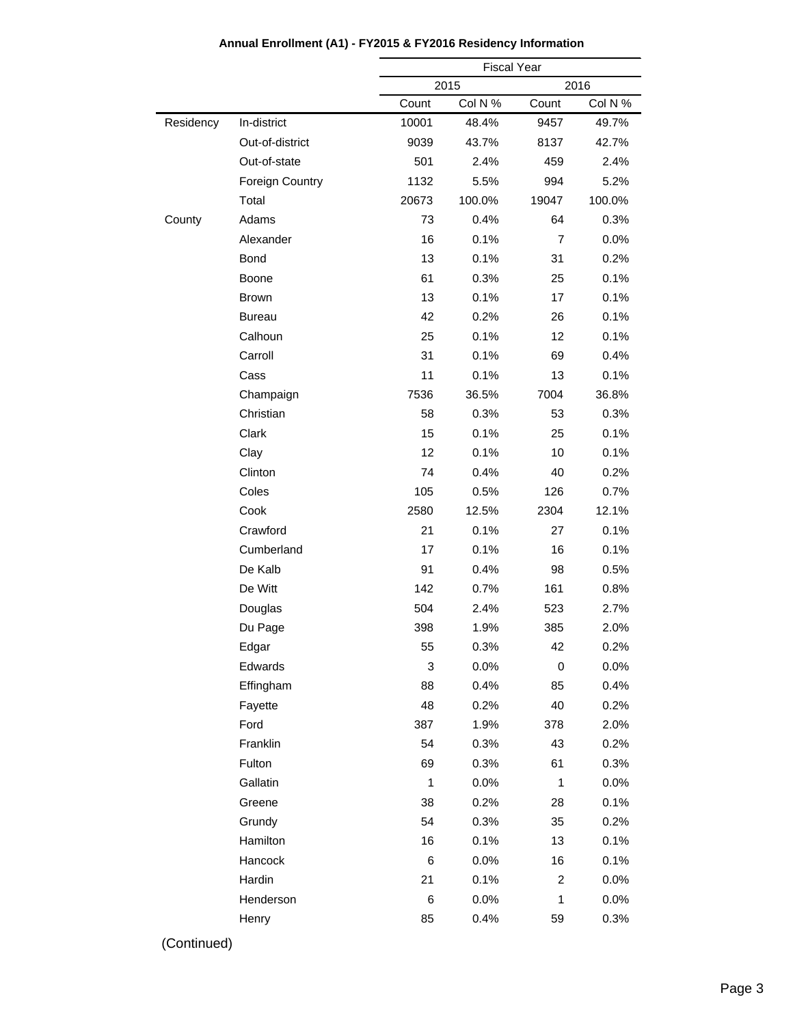|           |                        | <b>Fiscal Year</b> |         |                |         |
|-----------|------------------------|--------------------|---------|----------------|---------|
|           |                        |                    | 2015    |                | 2016    |
|           |                        | Count              | Col N % | Count          | Col N % |
| Residency | In-district            | 10001              | 48.4%   | 9457           | 49.7%   |
|           | Out-of-district        | 9039               | 43.7%   | 8137           | 42.7%   |
|           | Out-of-state           | 501                | 2.4%    | 459            | 2.4%    |
|           | <b>Foreign Country</b> | 1132               | 5.5%    | 994            | 5.2%    |
|           | Total                  | 20673              | 100.0%  | 19047          | 100.0%  |
| County    | Adams                  | 73                 | 0.4%    | 64             | 0.3%    |
|           | Alexander              | 16                 | 0.1%    | $\overline{7}$ | 0.0%    |
|           | <b>Bond</b>            | 13                 | 0.1%    | 31             | 0.2%    |
|           | Boone                  | 61                 | 0.3%    | 25             | 0.1%    |
|           | <b>Brown</b>           | 13                 | 0.1%    | 17             | 0.1%    |
|           | <b>Bureau</b>          | 42                 | 0.2%    | 26             | 0.1%    |
|           | Calhoun                | 25                 | 0.1%    | 12             | 0.1%    |
|           | Carroll                | 31                 | 0.1%    | 69             | 0.4%    |
|           | Cass                   | 11                 | 0.1%    | 13             | 0.1%    |
|           | Champaign              | 7536               | 36.5%   | 7004           | 36.8%   |
|           | Christian              | 58                 | 0.3%    | 53             | 0.3%    |
|           | Clark                  | 15                 | 0.1%    | 25             | 0.1%    |
|           | Clay                   | 12                 | 0.1%    | 10             | 0.1%    |
|           | Clinton                | 74                 | 0.4%    | 40             | 0.2%    |
|           | Coles                  | 105                | 0.5%    | 126            | 0.7%    |
|           | Cook                   | 2580               | 12.5%   | 2304           | 12.1%   |
|           | Crawford               | 21                 | 0.1%    | 27             | 0.1%    |
|           | Cumberland             | 17                 | 0.1%    | 16             | 0.1%    |
|           | De Kalb                | 91                 | 0.4%    | 98             | 0.5%    |
|           | De Witt                | 142                | 0.7%    | 161            | 0.8%    |
|           | Douglas                | 504                | 2.4%    | 523            | 2.7%    |
|           | Du Page                | 398                | 1.9%    | 385            | 2.0%    |
|           | Edgar                  | 55                 | 0.3%    | 42             | $0.2\%$ |
|           | Edwards                | 3                  | 0.0%    | $\pmb{0}$      | 0.0%    |
|           | Effingham              | 88                 | 0.4%    | 85             | 0.4%    |
|           | Fayette                | 48                 | 0.2%    | 40             | 0.2%    |
|           | Ford                   | 387                | 1.9%    | 378            | 2.0%    |
|           | Franklin               | 54                 | 0.3%    | 43             | 0.2%    |
|           | Fulton                 | 69                 | 0.3%    | 61             | 0.3%    |
|           | Gallatin               | $\mathbf{1}$       | 0.0%    | $\mathbf{1}$   | 0.0%    |
|           | Greene                 | 38                 | 0.2%    | 28             | 0.1%    |
|           | Grundy                 | 54                 | 0.3%    | 35             | 0.2%    |
|           | Hamilton               | 16                 | 0.1%    | 13             | 0.1%    |
|           | Hancock                | 6                  | 0.0%    | 16             | 0.1%    |
|           | Hardin                 | 21                 | 0.1%    | $\overline{c}$ | 0.0%    |
|           | Henderson              | 6                  | 0.0%    | $\mathbf{1}$   | 0.0%    |
|           | Henry                  | 85                 | 0.4%    | 59             | 0.3%    |
|           |                        |                    |         |                |         |

# **Annual Enrollment (A1) - FY2015 & FY2016 Residency Information**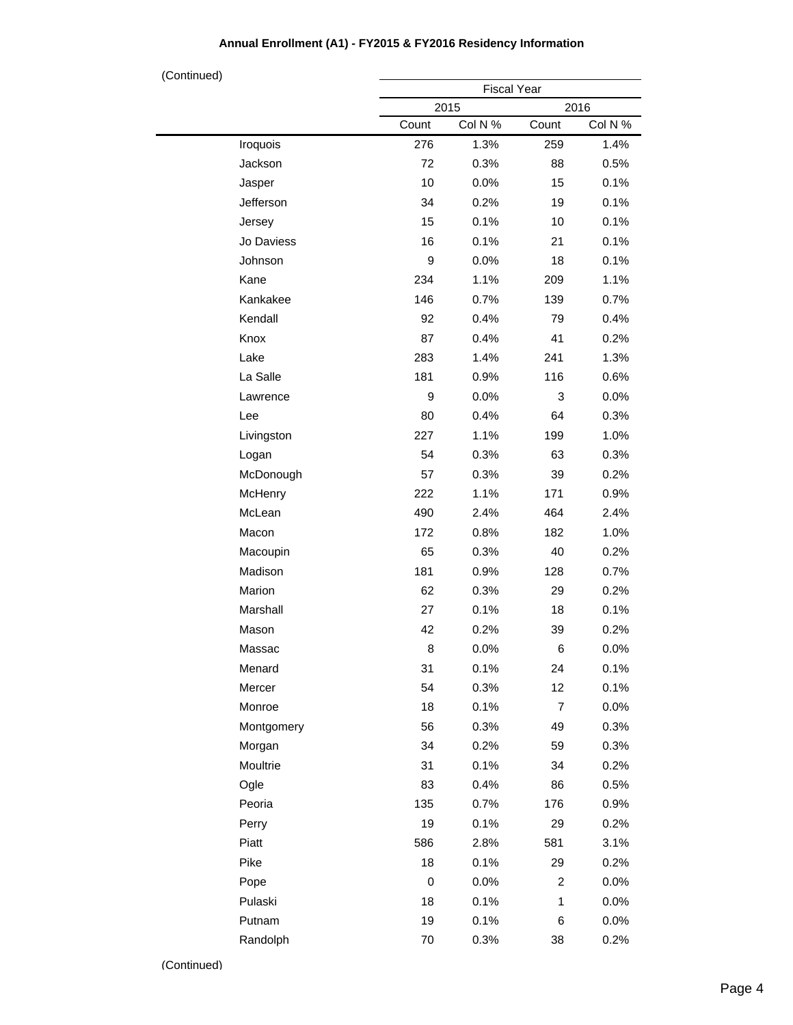#### Fiscal Year 2015 2016 Count Col N % Count Col N % Iroquois Jackson Jasper Jefferson Jersey Jo Daviess Johnson Kane Kankakee Kendall Knox Lake La Salle Lawrence Lee Livingston Logan McDonough **McHenry** McLean Macon Macoupin Madison Marion Marshall Mason Massac Menard Mercer Monroe Montgomery Morgan **Moultrie** Ogle Peoria Perry Piatt Pike Pope Pulaski Putnam Randolph 276 1.3% 259 1.4% 72 0.3% 88 0.5% 10 0.0% 15 0.1% 34 0.2% 19 0.1% 15 0.1% 10 0.1% 16 0.1% 21 0.1% 9 0.0% 18 0.1% 234 1.1% 209 1.1% 146 0.7% 139 0.7% 92 0.4% 79 0.4% 87 0.4% 41 0.2% 283 1.4% 241 1.3% 181 0.9% 116 0.6% 9 0.0% 3 0.0% 80 0.4% 64 0.3% 227 1.1% 199 1.0% 54 0.3% 63 0.3% 57 0.3% 39 0.2% 222 1.1% 171 0.9% 490 2.4% 464 2.4% 172 0.8% 182 1.0% 65 0.3% 40 0.2% 181 0.9% 128 0.7% 62 0.3% 29 0.2% 27 0.1% 18 0.1% 42 0.2% 39 0.2% 8 0.0% 6 0.0% 31 0.1% 24 0.1% 54 0.3% 12 0.1% 18 0.1% 7 0.0% 56 0.3% 49 0.3% 34 0.2% 59 0.3% 31 0.1% 34 0.2% 83 0.4% 86 0.5% 135 0.7% 176 0.9% 19 0.1% 29 0.2% 586 2.8% 581 3.1% 18 0.1% 29 0.2% 0 0.0% 2 0.0% 18 0.1% 1 0.0% 19 0.1% 6 0.0% 70 0.3% 38 0.2% (Continued)

#### **Annual Enrollment (A1) - FY2015 & FY2016 Residency Information**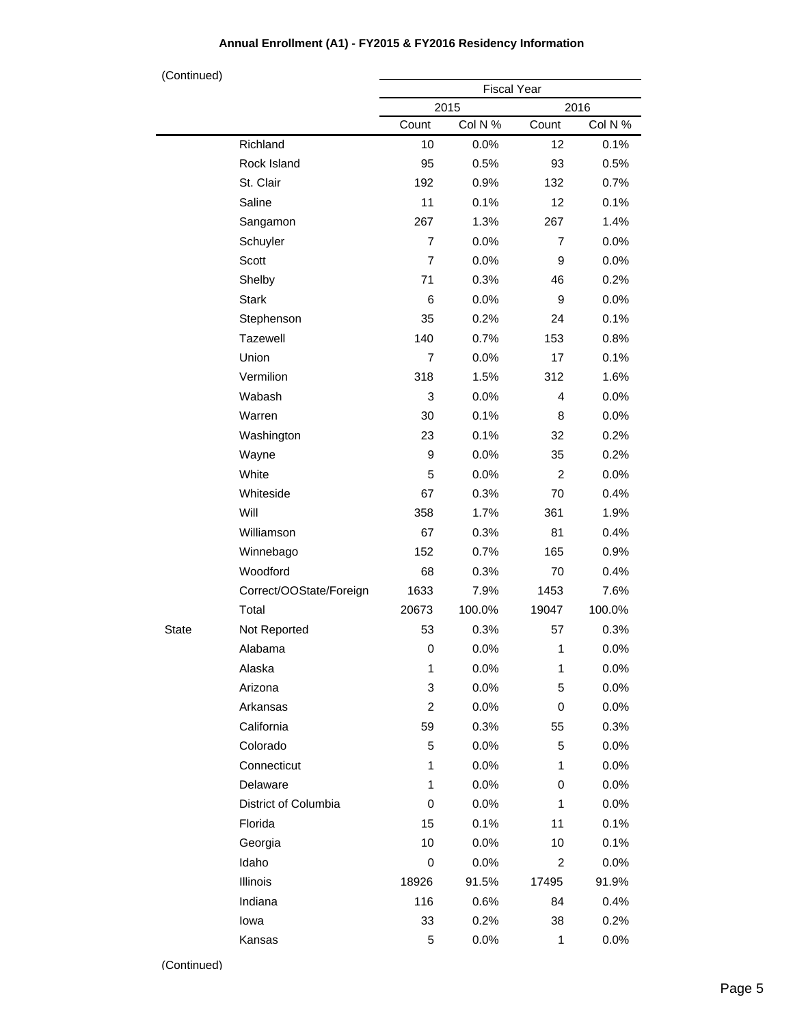| (Continued)  |                         |                    |         |                |         |
|--------------|-------------------------|--------------------|---------|----------------|---------|
|              |                         | <b>Fiscal Year</b> |         |                |         |
|              |                         |                    | 2015    |                | 2016    |
|              |                         | Count              | Col N % | Count          | Col N % |
|              | Richland                | 10                 | 0.0%    | 12             | 0.1%    |
|              | Rock Island             | 95                 | 0.5%    | 93             | 0.5%    |
|              | St. Clair               | 192                | 0.9%    | 132            | 0.7%    |
|              | Saline                  | 11                 | 0.1%    | 12             | 0.1%    |
|              | Sangamon                | 267                | 1.3%    | 267            | 1.4%    |
|              | Schuyler                | $\overline{7}$     | 0.0%    | 7              | 0.0%    |
|              | Scott                   | $\overline{7}$     | 0.0%    | 9              | 0.0%    |
|              | Shelby                  | 71                 | 0.3%    | 46             | 0.2%    |
|              | <b>Stark</b>            | 6                  | 0.0%    | 9              | 0.0%    |
|              | Stephenson              | 35                 | 0.2%    | 24             | 0.1%    |
|              | Tazewell                | 140                | 0.7%    | 153            | 0.8%    |
|              | Union                   | $\overline{7}$     | 0.0%    | 17             | 0.1%    |
|              | Vermilion               | 318                | 1.5%    | 312            | 1.6%    |
|              | Wabash                  | 3                  | 0.0%    | 4              | 0.0%    |
|              | Warren                  | 30                 | 0.1%    | 8              | 0.0%    |
|              | Washington              | 23                 | 0.1%    | 32             | 0.2%    |
|              | Wayne                   | 9                  | 0.0%    | 35             | 0.2%    |
|              | White                   | 5                  | 0.0%    | $\overline{c}$ | 0.0%    |
|              | Whiteside               | 67                 | 0.3%    | 70             | 0.4%    |
|              | Will                    | 358                | 1.7%    | 361            | 1.9%    |
|              | Williamson              | 67                 | 0.3%    | 81             | 0.4%    |
|              | Winnebago               | 152                | 0.7%    | 165            | 0.9%    |
|              | Woodford                | 68                 | 0.3%    | 70             | 0.4%    |
|              | Correct/OOState/Foreign | 1633               | 7.9%    | 1453           | 7.6%    |
|              | Total                   | 20673              | 100.0%  | 19047          | 100.0%  |
| <b>State</b> | Not Reported            | 53                 | 0.3%    | 57             | 0.3%    |
|              | Alabama                 | $\pmb{0}$          | 0.0%    | $\mathbf 1$    | 0.0%    |
|              | Alaska                  | 1                  | 0.0%    | 1              | 0.0%    |
|              | Arizona                 | 3                  | 0.0%    | 5              | 0.0%    |
|              | Arkansas                | $\overline{c}$     | 0.0%    | 0              | $0.0\%$ |
|              | California              | 59                 | 0.3%    | 55             | 0.3%    |
|              | Colorado                | 5                  | 0.0%    | 5              | 0.0%    |
|              | Connecticut             | 1                  | 0.0%    | 1              | 0.0%    |
|              | Delaware                | 1                  | 0.0%    | 0              | $0.0\%$ |
|              | District of Columbia    | $\boldsymbol{0}$   | 0.0%    | 1              | $0.0\%$ |
|              | Florida                 | 15                 | 0.1%    | 11             | 0.1%    |
|              | Georgia                 | 10                 | 0.0%    | 10             | 0.1%    |
|              | Idaho                   | $\mathbf 0$        | 0.0%    | 2              | 0.0%    |
|              | Illinois                | 18926              | 91.5%   | 17495          | 91.9%   |
|              | Indiana                 | 116                | 0.6%    | 84             | 0.4%    |
|              | lowa                    | 33                 | 0.2%    | 38             | 0.2%    |
|              | Kansas                  | 5                  | 0.0%    | 1              | 0.0%    |

## **Annual Enrollment (A1) - FY2015 & FY2016 Residency Information**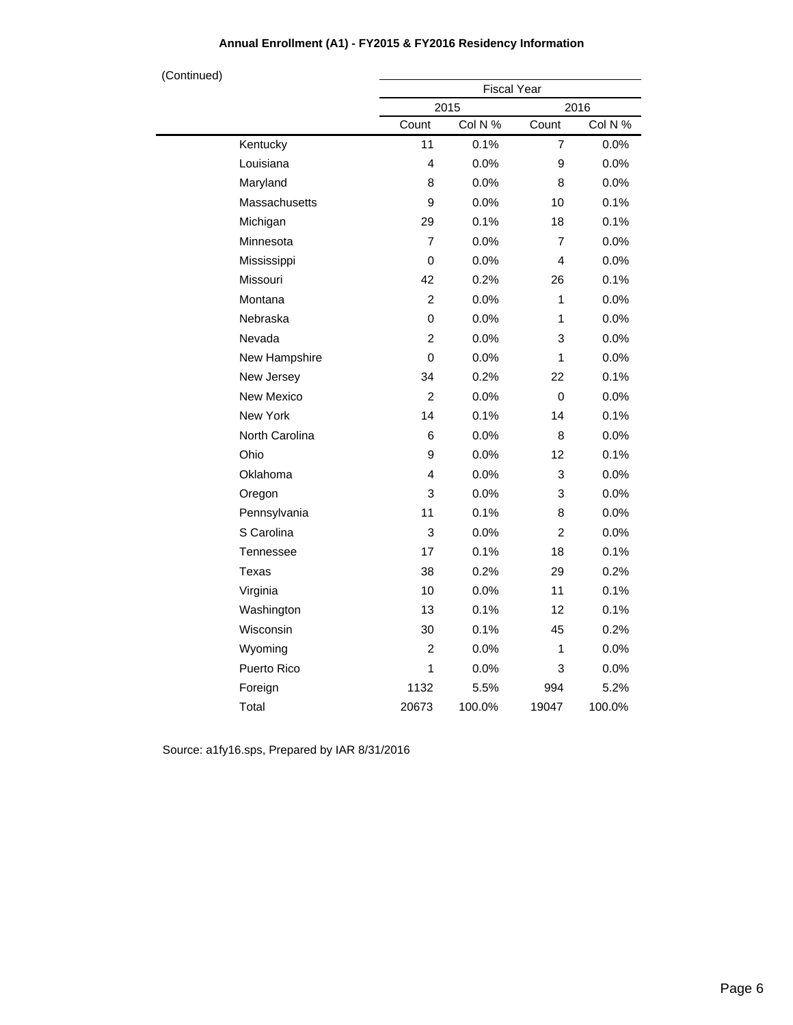| (Continued) |                    |                | <b>Fiscal Year</b> |                |         |
|-------------|--------------------|----------------|--------------------|----------------|---------|
|             |                    |                | 2015               |                | 2016    |
|             |                    | Count          | Col N %            | Count          | Col N % |
|             | Kentucky           | 11             | 0.1%               | $\overline{7}$ | 0.0%    |
|             | Louisiana          | 4              | 0.0%               | 9              | $0.0\%$ |
|             | Maryland           | 8              | 0.0%               | 8              | 0.0%    |
|             | Massachusetts      | 9              | 0.0%               | 10             | 0.1%    |
|             | Michigan           | 29             | 0.1%               | 18             | 0.1%    |
|             | Minnesota          | $\overline{7}$ | 0.0%               | $\overline{7}$ | 0.0%    |
|             | Mississippi        | $\mathsf 0$    | 0.0%               | 4              | 0.0%    |
|             | Missouri           | 42             | 0.2%               | 26             | 0.1%    |
|             | Montana            | $\overline{2}$ | 0.0%               | 1              | 0.0%    |
|             | Nebraska           | 0              | 0.0%               | 1              | 0.0%    |
|             | Nevada             | $\overline{c}$ | 0.0%               | 3              | 0.0%    |
|             | New Hampshire      | 0              | 0.0%               | 1              | 0.0%    |
|             | New Jersey         | 34             | 0.2%               | 22             | 0.1%    |
|             | New Mexico         | $\overline{2}$ | 0.0%               | 0              | 0.0%    |
|             | New York           | 14             | 0.1%               | 14             | 0.1%    |
|             | North Carolina     | 6              | 0.0%               | 8              | 0.0%    |
|             | Ohio               | 9              | 0.0%               | 12             | 0.1%    |
|             | Oklahoma           | 4              | 0.0%               | 3              | 0.0%    |
|             | Oregon             | 3              | 0.0%               | 3              | 0.0%    |
|             | Pennsylvania       | 11             | 0.1%               | 8              | 0.0%    |
|             | S Carolina         | 3              | 0.0%               | 2              | 0.0%    |
|             | Tennessee          | 17             | 0.1%               | 18             | 0.1%    |
|             | Texas              | 38             | 0.2%               | 29             | 0.2%    |
|             | Virginia           | 10             | 0.0%               | 11             | 0.1%    |
|             | Washington         | 13             | 0.1%               | 12             | 0.1%    |
|             | Wisconsin          | 30             | 0.1%               | 45             | 0.2%    |
|             | Wyoming            | $\overline{2}$ | 0.0%               | 1              | 0.0%    |
|             | <b>Puerto Rico</b> | 1              | 0.0%               | 3              | 0.0%    |
|             | Foreign            | 1132           | 5.5%               | 994            | 5.2%    |
|             | Total              | 20673          | 100.0%             | 19047          | 100.0%  |

## **Annual Enrollment (A1) - FY2015 & FY2016 Residency Information**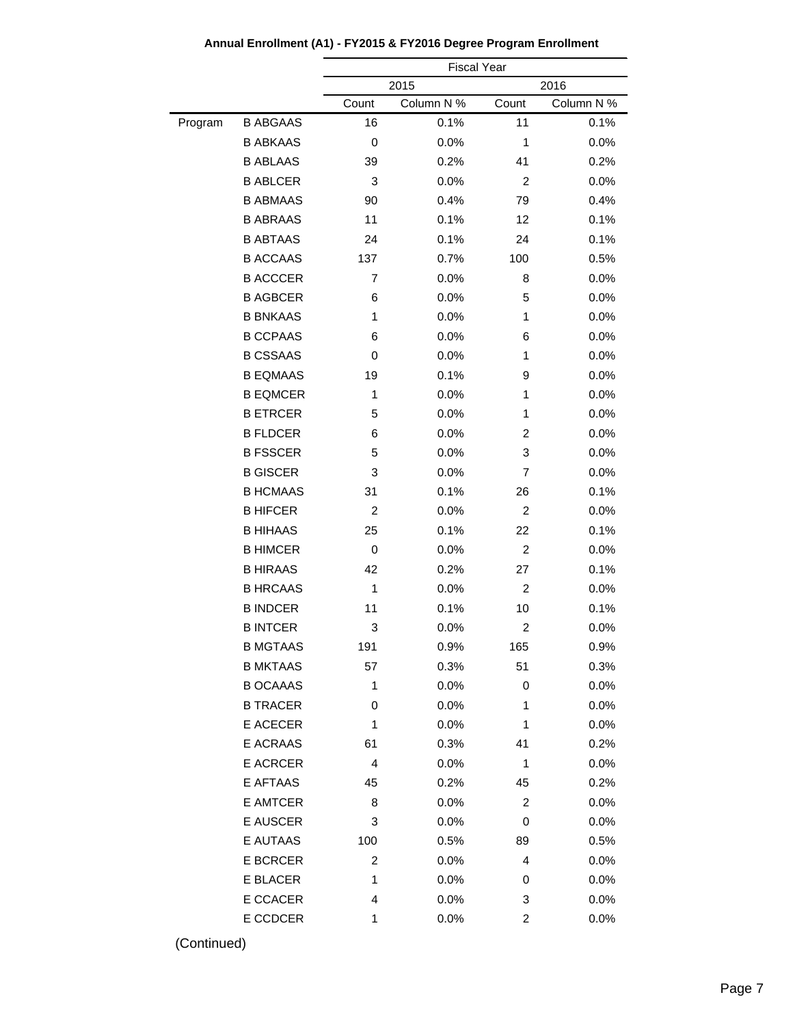|         |                 | <b>Fiscal Year</b> |            |                |            |
|---------|-----------------|--------------------|------------|----------------|------------|
|         |                 |                    | 2015       |                | 2016       |
|         |                 | Count              | Column N % | Count          | Column N % |
| Program | <b>B ABGAAS</b> | 16                 | 0.1%       | 11             | 0.1%       |
|         | <b>B ABKAAS</b> | 0                  | 0.0%       | 1              | 0.0%       |
|         | <b>B ABLAAS</b> | 39                 | 0.2%       | 41             | 0.2%       |
|         | <b>B ABLCER</b> | 3                  | 0.0%       | $\overline{c}$ | 0.0%       |
|         | <b>B ABMAAS</b> | 90                 | 0.4%       | 79             | 0.4%       |
|         | <b>B ABRAAS</b> | 11                 | 0.1%       | 12             | 0.1%       |
|         | <b>B ABTAAS</b> | 24                 | 0.1%       | 24             | 0.1%       |
|         | <b>B ACCAAS</b> | 137                | 0.7%       | 100            | 0.5%       |
|         | <b>B ACCCER</b> | 7                  | 0.0%       | 8              | 0.0%       |
|         | <b>B AGBCER</b> | 6                  | 0.0%       | 5              | 0.0%       |
|         | <b>B BNKAAS</b> | 1                  | 0.0%       | 1              | 0.0%       |
|         | <b>B CCPAAS</b> | 6                  | 0.0%       | 6              | 0.0%       |
|         | <b>B CSSAAS</b> | 0                  | 0.0%       | 1              | 0.0%       |
|         | <b>B EQMAAS</b> | 19                 | 0.1%       | 9              | 0.0%       |
|         | <b>B EQMCER</b> | 1                  | 0.0%       | 1              | 0.0%       |
|         | <b>B ETRCER</b> | 5                  | 0.0%       | 1              | 0.0%       |
|         | <b>B FLDCER</b> | 6                  | 0.0%       | 2              | 0.0%       |
|         | <b>B FSSCER</b> | 5                  | 0.0%       | 3              | 0.0%       |
|         | <b>B GISCER</b> | 3                  | 0.0%       | 7              | 0.0%       |
|         | <b>B HCMAAS</b> | 31                 | 0.1%       | 26             | 0.1%       |
|         | <b>B HIFCER</b> | 2                  | 0.0%       | $\overline{c}$ | 0.0%       |
|         | <b>B HIHAAS</b> | 25                 | 0.1%       | 22             | 0.1%       |
|         | <b>B HIMCER</b> | 0                  | 0.0%       | 2              | 0.0%       |
|         | <b>B HIRAAS</b> | 42                 | 0.2%       | 27             | 0.1%       |
|         | <b>B HRCAAS</b> | 1                  | 0.0%       | 2              | 0.0%       |
|         | <b>B INDCER</b> | 11                 | 0.1%       | 10             | 0.1%       |
|         | <b>B INTCER</b> | 3                  | 0.0%       | 2              | 0.0%       |
|         | <b>B MGTAAS</b> | 191                | 0.9%       | 165            | 0.9%       |
|         | <b>B MKTAAS</b> | 57                 | 0.3%       | 51             | 0.3%       |
|         | <b>B OCAAAS</b> | 1                  | 0.0%       | 0              | 0.0%       |
|         | <b>B TRACER</b> | 0                  | 0.0%       | 1              | 0.0%       |
|         | E ACECER        | 1                  | 0.0%       | 1              | 0.0%       |
|         | E ACRAAS        | 61                 | 0.3%       | 41             | 0.2%       |
|         | <b>E ACRCER</b> | 4                  | 0.0%       | 1              | 0.0%       |
|         | E AFTAAS        | 45                 | 0.2%       | 45             | 0.2%       |
|         | E AMTCER        | 8                  | 0.0%       | 2              | 0.0%       |
|         | <b>E AUSCER</b> | 3                  | 0.0%       | 0              | 0.0%       |
|         | E AUTAAS        | 100                | 0.5%       | 89             | 0.5%       |
|         | <b>E BCRCER</b> | 2                  | 0.0%       | 4              | 0.0%       |
|         | E BLACER        | 1                  | 0.0%       | 0              | 0.0%       |
|         | E CCACER        | 4                  | 0.0%       | 3              | 0.0%       |
|         | E CCDCER        | 1                  | 0.0%       | 2              | 0.0%       |

**Annual Enrollment (A1) - FY2015 & FY2016 Degree Program Enrollment**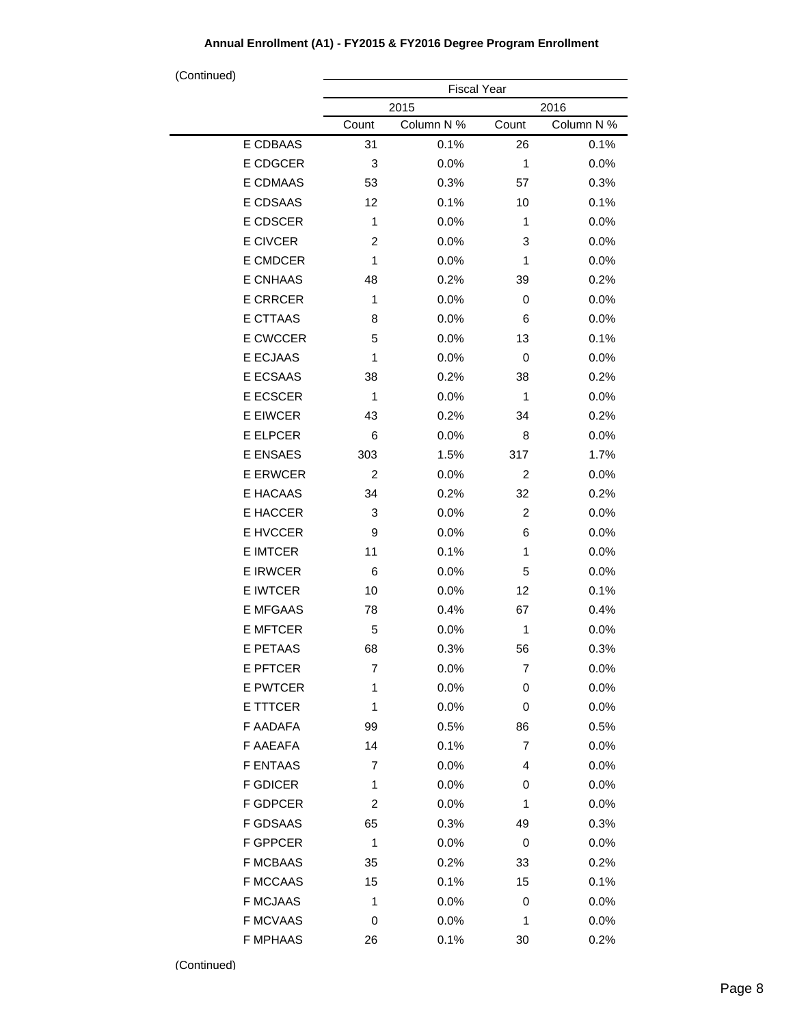| (Continued)     |                    |            |                |            |  |
|-----------------|--------------------|------------|----------------|------------|--|
|                 | <b>Fiscal Year</b> |            |                |            |  |
|                 |                    | 2015       |                | 2016       |  |
|                 | Count              | Column N % | Count          | Column N % |  |
| E CDBAAS        | 31                 | 0.1%       | 26             | 0.1%       |  |
| E CDGCER        | 3                  | 0.0%       | 1              | 0.0%       |  |
| E CDMAAS        | 53                 | 0.3%       | 57             | 0.3%       |  |
| E CDSAAS        | 12                 | 0.1%       | 10             | 0.1%       |  |
| E CDSCER        | 1                  | 0.0%       | 1              | 0.0%       |  |
| E CIVCER        | $\overline{2}$     | 0.0%       | 3              | 0.0%       |  |
| E CMDCER        | 1                  | 0.0%       | 1              | 0.0%       |  |
| E CNHAAS        | 48                 | 0.2%       | 39             | 0.2%       |  |
| <b>E CRRCER</b> | 1                  | 0.0%       | 0              | 0.0%       |  |
| E CTTAAS        | 8                  | 0.0%       | 6              | 0.0%       |  |
| E CWCCER        | 5                  | 0.0%       | 13             | 0.1%       |  |
| E ECJAAS        | 1                  | 0.0%       | 0              | $0.0\%$    |  |
| E ECSAAS        | 38                 | 0.2%       | 38             | 0.2%       |  |
| E ECSCER        | 1                  | 0.0%       | 1              | 0.0%       |  |
| <b>E EIWCER</b> | 43                 | 0.2%       | 34             | 0.2%       |  |
| <b>E ELPCER</b> | 6                  | 0.0%       | 8              | 0.0%       |  |
| E ENSAES        | 303                | 1.5%       | 317            | 1.7%       |  |
| <b>E ERWCER</b> | $\overline{c}$     | 0.0%       | $\overline{c}$ | 0.0%       |  |
| E HACAAS        | 34                 | 0.2%       | 32             | 0.2%       |  |
| E HACCER        | 3                  | 0.0%       | $\overline{c}$ | 0.0%       |  |
| E HVCCER        | 9                  | 0.0%       | 6              | 0.0%       |  |
| <b>E IMTCER</b> | 11                 | 0.1%       | 1              | 0.0%       |  |
| <b>E IRWCER</b> | 6                  | 0.0%       | 5              | 0.0%       |  |
| E IWTCER        | 10                 | 0.0%       | 12             | 0.1%       |  |
| <b>E MFGAAS</b> | 78                 | 0.4%       | 67             | 0.4%       |  |
| <b>E MFTCER</b> | 5                  | 0.0%       | 1              | 0.0%       |  |
| E PETAAS        | 68                 | 0.3%       | 56             | 0.3%       |  |
| E PFTCER        | 7                  | 0.0%       | 7              | $0.0\%$    |  |
| E PWTCER        | 1                  | 0.0%       | 0              | 0.0%       |  |
| E TTTCER        | 1                  | 0.0%       | 0              | 0.0%       |  |
| F AADAFA        | 99                 | 0.5%       | 86             | 0.5%       |  |
| F AAEAFA        | 14                 | 0.1%       | 7              | $0.0\%$    |  |
| <b>F ENTAAS</b> | $\overline{7}$     | 0.0%       | 4              | 0.0%       |  |
| <b>F GDICER</b> | 1                  | 0.0%       | 0              | 0.0%       |  |
| F GDPCER        | 2                  | 0.0%       | 1              | 0.0%       |  |
| F GDSAAS        | 65                 | 0.3%       | 49             | 0.3%       |  |
| F GPPCER        | 1                  | 0.0%       | 0              | $0.0\%$    |  |
| <b>F MCBAAS</b> | 35                 | 0.2%       | 33             | 0.2%       |  |
| <b>F MCCAAS</b> | 15                 | 0.1%       | 15             | 0.1%       |  |
| <b>F MCJAAS</b> | 1                  | 0.0%       | 0              | 0.0%       |  |
| <b>F MCVAAS</b> | 0                  | 0.0%       | 1              | 0.0%       |  |
| <b>F MPHAAS</b> | 26                 | 0.1%       | 30             | 0.2%       |  |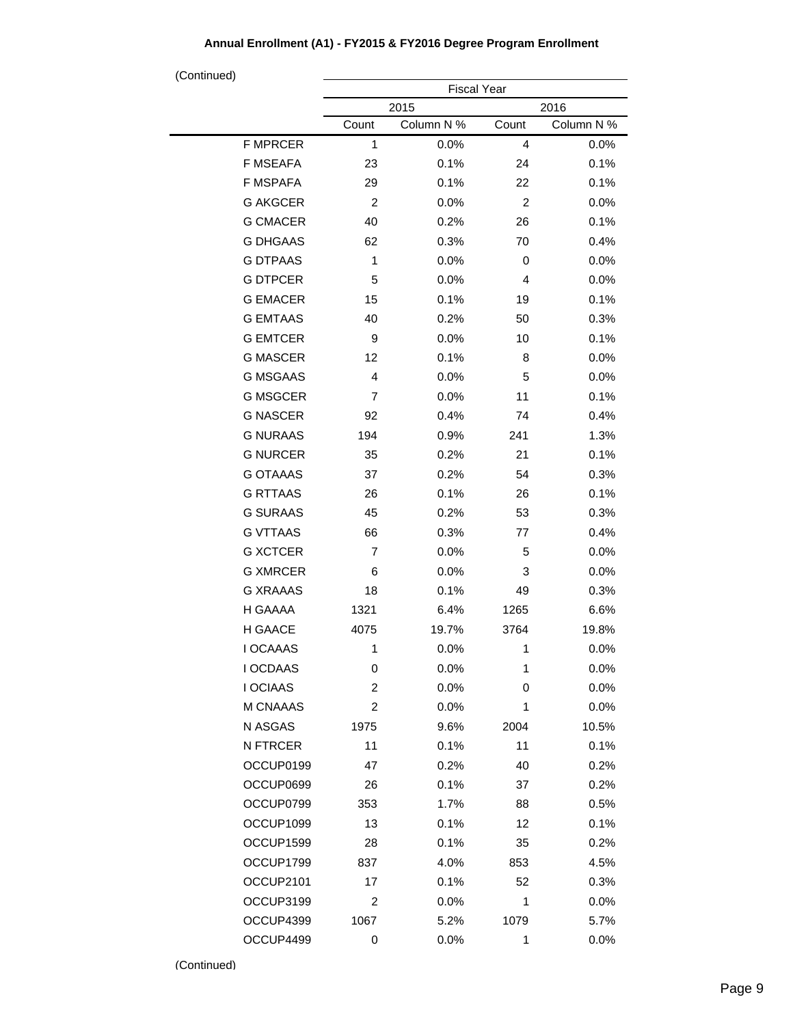| (Continued)     |                    |            |                |            |  |
|-----------------|--------------------|------------|----------------|------------|--|
|                 | <b>Fiscal Year</b> |            |                |            |  |
|                 | 2015<br>2016       |            |                |            |  |
|                 | Count              | Column N % | Count          | Column N % |  |
| <b>F MPRCER</b> | 1                  | 0.0%       | $\overline{4}$ | 0.0%       |  |
| F MSEAFA        | 23                 | 0.1%       | 24             | 0.1%       |  |
| <b>F MSPAFA</b> | 29                 | 0.1%       | 22             | 0.1%       |  |
| <b>G AKGCER</b> | $\overline{c}$     | 0.0%       | $\overline{c}$ | 0.0%       |  |
| <b>G CMACER</b> | 40                 | 0.2%       | 26             | 0.1%       |  |
| <b>G DHGAAS</b> | 62                 | 0.3%       | 70             | 0.4%       |  |
| <b>G DTPAAS</b> | 1                  | 0.0%       | 0              | 0.0%       |  |
| <b>G DTPCER</b> | 5                  | 0.0%       | 4              | 0.0%       |  |
| <b>G EMACER</b> | 15                 | 0.1%       | 19             | 0.1%       |  |
| <b>G EMTAAS</b> | 40                 | 0.2%       | 50             | 0.3%       |  |
| <b>G EMTCER</b> | 9                  | 0.0%       | 10             | 0.1%       |  |
| <b>G MASCER</b> | 12                 | 0.1%       | 8              | 0.0%       |  |
| <b>G MSGAAS</b> | 4                  | 0.0%       | 5              | 0.0%       |  |
| <b>G MSGCER</b> | 7                  | 0.0%       | 11             | 0.1%       |  |
| <b>G NASCER</b> | 92                 | 0.4%       | 74             | 0.4%       |  |
| <b>G NURAAS</b> | 194                | 0.9%       | 241            | 1.3%       |  |
| <b>G NURCER</b> | 35                 | 0.2%       | 21             | 0.1%       |  |
| <b>G OTAAAS</b> | 37                 | 0.2%       | 54             | 0.3%       |  |
| <b>G RTTAAS</b> | 26                 | 0.1%       | 26             | 0.1%       |  |
| <b>G SURAAS</b> | 45                 | 0.2%       | 53             | 0.3%       |  |
| <b>G VTTAAS</b> | 66                 | 0.3%       | 77             | 0.4%       |  |
| <b>G XCTCER</b> | $\overline{7}$     | 0.0%       | 5              | 0.0%       |  |
| <b>G XMRCER</b> | 6                  | 0.0%       | 3              | 0.0%       |  |
| <b>G XRAAAS</b> | 18                 | 0.1%       | 49             | 0.3%       |  |
| H GAAAA         | 1321               | 6.4%       | 1265           | 6.6%       |  |
| H GAACE         | 4075               | 19.7%      | 3764           | 19.8%      |  |
| I OCAAAS        | 1                  | 0.0%       | 1              | 0.0%       |  |
| I OCDAAS        | 0                  | 0.0%       | 1              | 0.0%       |  |
| <b>I OCIAAS</b> | $\overline{c}$     | 0.0%       | 0              | 0.0%       |  |
| M CNAAAS        | 2                  | 0.0%       | 1              | 0.0%       |  |
| N ASGAS         | 1975               | 9.6%       | 2004           | 10.5%      |  |
| N FTRCER        | 11                 | 0.1%       | 11             | 0.1%       |  |
| OCCUP0199       | 47                 | 0.2%       | 40             | 0.2%       |  |
| OCCUP0699       | 26                 | 0.1%       | 37             | 0.2%       |  |
| OCCUP0799       | 353                | 1.7%       | 88             | 0.5%       |  |
| OCCUP1099       | 13                 | 0.1%       | 12             | 0.1%       |  |
| OCCUP1599       | 28                 | 0.1%       | 35             | 0.2%       |  |
| OCCUP1799       | 837                | 4.0%       | 853            | 4.5%       |  |
| OCCUP2101       | 17                 | 0.1%       | 52             | 0.3%       |  |
| OCCUP3199       | 2                  | $0.0\%$    | 1              | 0.0%       |  |
| OCCUP4399       | 1067               | 5.2%       | 1079           | 5.7%       |  |
| OCCUP4499       | 0                  | 0.0%       | 1              | 0.0%       |  |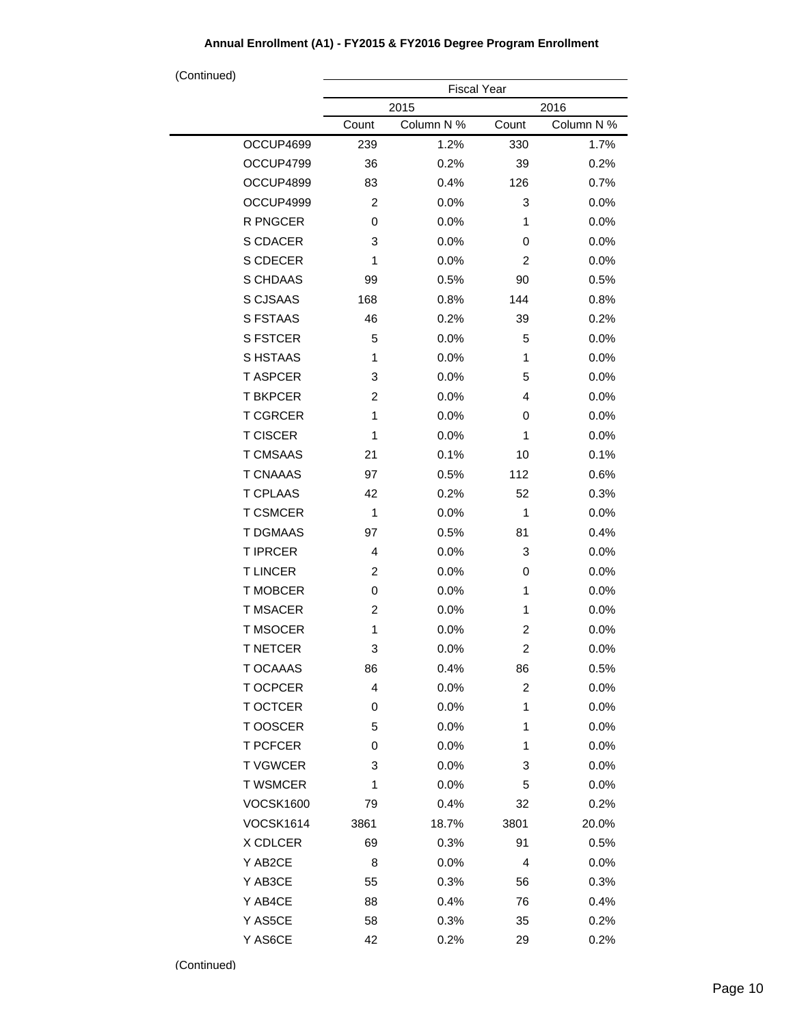| <b>Fiscal Year</b> |                       |                                                          |                                                      |  |
|--------------------|-----------------------|----------------------------------------------------------|------------------------------------------------------|--|
|                    |                       |                                                          | 2016                                                 |  |
| Count              | Column N %            | Count                                                    | Column N %                                           |  |
| 239                | 1.2%                  | 330                                                      | 1.7%                                                 |  |
| 36                 | 0.2%                  | 39                                                       | 0.2%                                                 |  |
| 83                 | 0.4%                  | 126                                                      | 0.7%                                                 |  |
| 2                  | 0.0%                  | 3                                                        | 0.0%                                                 |  |
| 0                  | 0.0%                  | 1                                                        | 0.0%                                                 |  |
| 3                  | 0.0%                  | 0                                                        | 0.0%                                                 |  |
| 1                  | 0.0%                  | $\overline{c}$                                           | 0.0%                                                 |  |
| 99                 | 0.5%                  | 90                                                       | 0.5%                                                 |  |
| 168                | 0.8%                  | 144                                                      | 0.8%                                                 |  |
| 46                 | 0.2%                  | 39                                                       | 0.2%                                                 |  |
| 5                  | 0.0%                  | 5                                                        | 0.0%                                                 |  |
| 1                  | 0.0%                  | 1                                                        | 0.0%                                                 |  |
| 3                  | 0.0%                  | 5                                                        | 0.0%                                                 |  |
| 2                  | 0.0%                  | 4                                                        | 0.0%                                                 |  |
| 1                  | 0.0%                  | 0                                                        | 0.0%                                                 |  |
| 1                  | 0.0%                  | 1                                                        | 0.0%                                                 |  |
| 21                 | 0.1%                  | 10                                                       | 0.1%                                                 |  |
| 97                 | 0.5%                  | 112                                                      | 0.6%                                                 |  |
| 42                 | 0.2%                  | 52                                                       | 0.3%                                                 |  |
| 1                  | 0.0%                  | 1                                                        | 0.0%                                                 |  |
| 97                 | 0.5%                  | 81                                                       | 0.4%                                                 |  |
| 4                  | 0.0%                  | 3                                                        | 0.0%                                                 |  |
| $\overline{c}$     | 0.0%                  | 0                                                        | 0.0%                                                 |  |
| 0                  | 0.0%                  | 1                                                        | 0.0%                                                 |  |
| 2                  | 0.0%                  | 1                                                        | 0.0%                                                 |  |
| 1                  | 0.0%                  | $\overline{\mathbf{c}}$                                  | 0.0%                                                 |  |
| 3                  | 0.0%                  | 2                                                        | 0.0%                                                 |  |
| 86                 | 0.4%                  | 86                                                       | 0.5%                                                 |  |
| 4                  | 0.0%                  | $\overline{c}$                                           | 0.0%                                                 |  |
| 0                  | 0.0%                  | 1                                                        | 0.0%                                                 |  |
| 5                  |                       | 1                                                        | 0.0%                                                 |  |
| 0                  | $0.0\%$               | 1                                                        | 0.0%                                                 |  |
| 3                  | 0.0%                  |                                                          | 0.0%                                                 |  |
| 1                  | $0.0\%$               |                                                          | $0.0\%$                                              |  |
|                    |                       |                                                          | 0.2%                                                 |  |
|                    |                       |                                                          | 20.0%                                                |  |
| 69                 |                       |                                                          | 0.5%                                                 |  |
|                    |                       | 4                                                        | $0.0\%$                                              |  |
|                    |                       |                                                          | 0.3%                                                 |  |
|                    |                       |                                                          | 0.4%                                                 |  |
|                    |                       |                                                          |                                                      |  |
| 58                 | 0.3%                  | 35                                                       | 0.2%                                                 |  |
|                    | 79<br>3861<br>8<br>55 | 2015<br>0.0%<br>0.4%<br>18.7%<br>0.3%<br>$0.0\%$<br>0.3% | 3<br>5<br>32<br>3801<br>91<br>56<br>88<br>76<br>0.4% |  |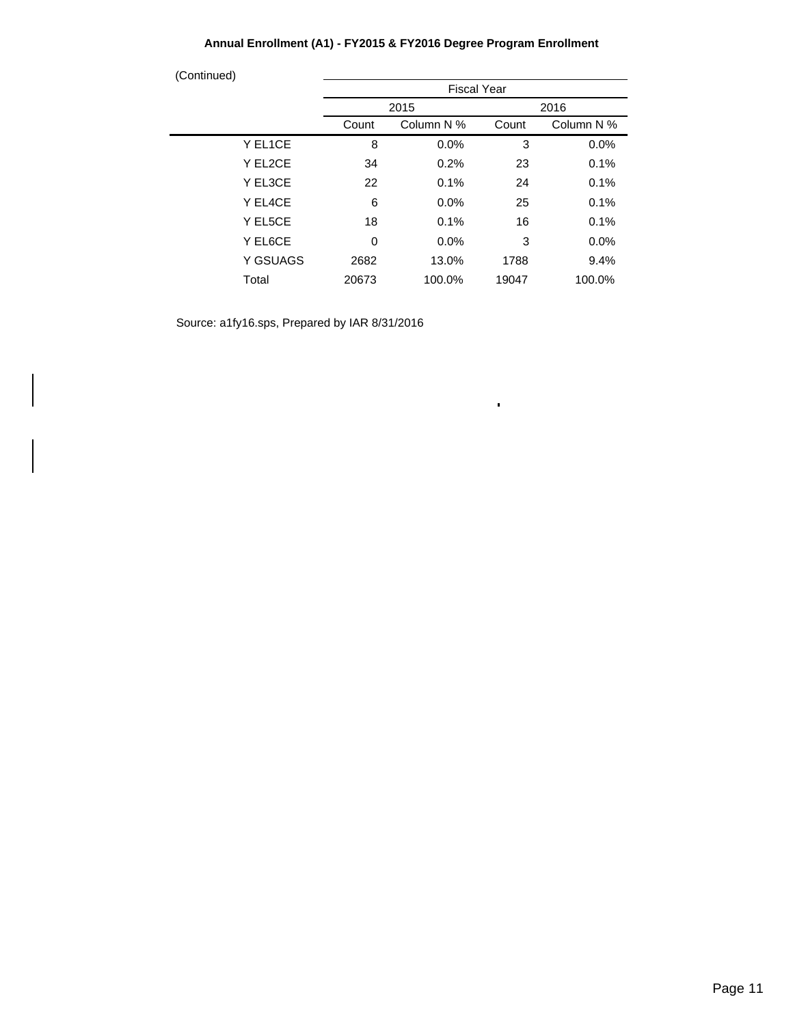| (Continued)<br><b>Fiscal Year</b> |            |       |            |  |
|-----------------------------------|------------|-------|------------|--|
|                                   |            | 2016  |            |  |
| Count                             | Column N % | Count | Column N % |  |
| 8                                 | 0.0%       | 3     | 0.0%       |  |
| 34                                | 0.2%       | 23    | 0.1%       |  |
| 22                                | 0.1%       | 24    | 0.1%       |  |
| 6                                 | 0.0%       | 25    | 0.1%       |  |
| 18                                | 0.1%       | 16    | 0.1%       |  |
| 0                                 | $0.0\%$    | 3     | $0.0\%$    |  |
| 2682                              | 13.0%      | 1788  | 9.4%       |  |
| 20673                             | 100.0%     | 19047 | 100.0%     |  |
|                                   |            | 2015  |            |  |

 $\bar{\phantom{a}}$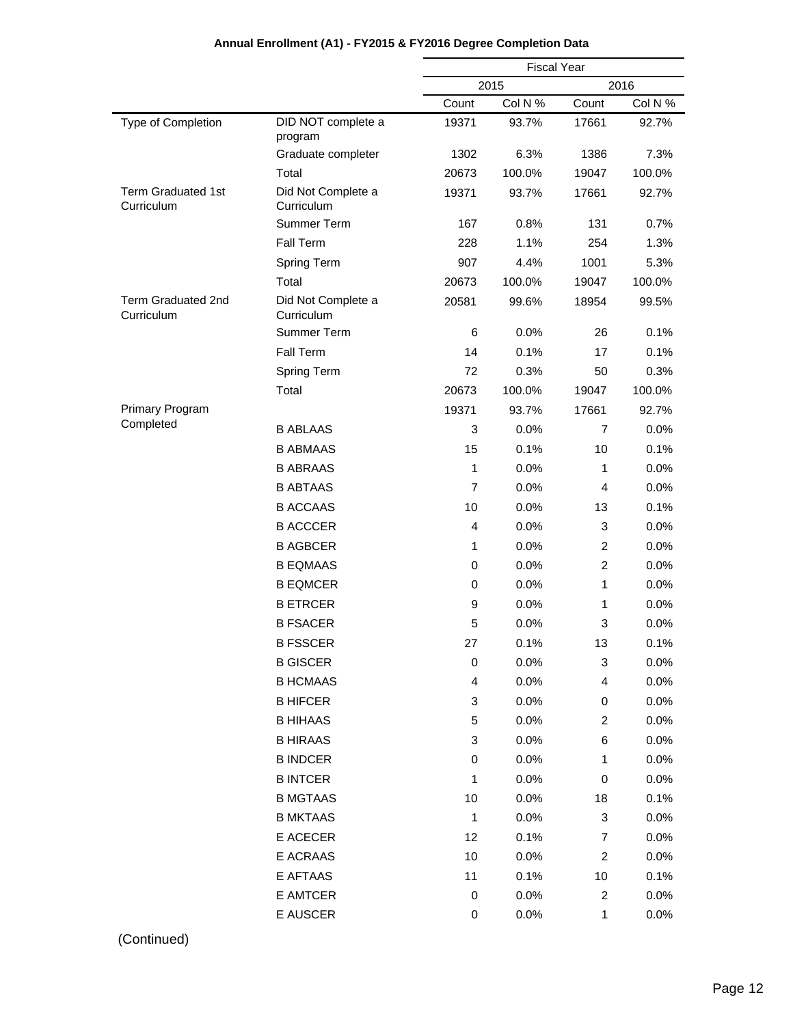|                                         |                                  | <b>Fiscal Year</b> |         |                |         |  |
|-----------------------------------------|----------------------------------|--------------------|---------|----------------|---------|--|
|                                         |                                  |                    | 2015    | 2016           |         |  |
|                                         |                                  | Count              | Col N % | Count          | Col N % |  |
| Type of Completion                      | DID NOT complete a<br>program    | 19371              | 93.7%   | 17661          | 92.7%   |  |
|                                         | Graduate completer               | 1302               | 6.3%    | 1386           | 7.3%    |  |
|                                         | Total                            | 20673              | 100.0%  | 19047          | 100.0%  |  |
| <b>Term Graduated 1st</b><br>Curriculum | Did Not Complete a<br>Curriculum | 19371              | 93.7%   | 17661          | 92.7%   |  |
|                                         | Summer Term                      | 167                | 0.8%    | 131            | 0.7%    |  |
|                                         | Fall Term                        | 228                | 1.1%    | 254            | 1.3%    |  |
|                                         | <b>Spring Term</b>               | 907                | 4.4%    | 1001           | 5.3%    |  |
|                                         | Total                            | 20673              | 100.0%  | 19047          | 100.0%  |  |
| <b>Term Graduated 2nd</b><br>Curriculum | Did Not Complete a<br>Curriculum | 20581              | 99.6%   | 18954          | 99.5%   |  |
|                                         | Summer Term                      | 6                  | 0.0%    | 26             | 0.1%    |  |
|                                         | Fall Term                        | 14                 | 0.1%    | 17             | 0.1%    |  |
|                                         | <b>Spring Term</b>               | 72                 | 0.3%    | 50             | 0.3%    |  |
|                                         | Total                            | 20673              | 100.0%  | 19047          | 100.0%  |  |
| <b>Primary Program</b>                  |                                  | 19371              | 93.7%   | 17661          | 92.7%   |  |
| Completed                               | <b>B ABLAAS</b>                  | 3                  | 0.0%    | $\overline{7}$ | 0.0%    |  |
|                                         | <b>B ABMAAS</b>                  | 15                 | 0.1%    | 10             | 0.1%    |  |
|                                         | <b>B ABRAAS</b>                  | 1                  | 0.0%    | 1              | 0.0%    |  |
|                                         | <b>B ABTAAS</b>                  | $\overline{7}$     | 0.0%    | 4              | 0.0%    |  |
|                                         | <b>B ACCAAS</b>                  | 10                 | 0.0%    | 13             | 0.1%    |  |
|                                         | <b>B ACCCER</b>                  | $\overline{4}$     | 0.0%    | 3              | 0.0%    |  |
|                                         | <b>B AGBCER</b>                  | 1                  | 0.0%    | 2              | 0.0%    |  |
|                                         | <b>B EQMAAS</b>                  | 0                  | 0.0%    | $\overline{c}$ | 0.0%    |  |
|                                         | <b>B EQMCER</b>                  | 0                  | 0.0%    | 1              | 0.0%    |  |
|                                         | <b>B ETRCER</b>                  | 9                  | 0.0%    | 1              | 0.0%    |  |
|                                         | <b>B FSACER</b>                  | 5                  | 0.0%    | 3              | 0.0%    |  |
|                                         | <b>B FSSCER</b>                  | 27                 | 0.1%    | 13             | 0.1%    |  |
|                                         | <b>B GISCER</b>                  | 0                  | 0.0%    | 3              | 0.0%    |  |
|                                         | <b>B HCMAAS</b>                  | 4                  | 0.0%    | 4              | 0.0%    |  |
|                                         | <b>B HIFCER</b>                  | 3                  | 0.0%    | 0              | 0.0%    |  |
|                                         | <b>B HIHAAS</b>                  | 5                  | 0.0%    | $\overline{c}$ | 0.0%    |  |
|                                         | <b>B HIRAAS</b>                  | 3                  | 0.0%    | 6              | 0.0%    |  |
|                                         | <b>B INDCER</b>                  | 0                  | 0.0%    | 1              | 0.0%    |  |
|                                         | <b>B INTCER</b>                  | 1                  | 0.0%    | $\,0\,$        | 0.0%    |  |
|                                         | <b>B MGTAAS</b>                  | 10                 | 0.0%    | 18             | 0.1%    |  |
|                                         | <b>B MKTAAS</b>                  | 1                  | 0.0%    | 3              | 0.0%    |  |
|                                         | E ACECER                         | 12                 | 0.1%    | 7              | 0.0%    |  |
|                                         | E ACRAAS                         | 10                 | 0.0%    | $\overline{c}$ | 0.0%    |  |
|                                         | E AFTAAS                         | 11                 | 0.1%    | 10             | 0.1%    |  |
|                                         | E AMTCER                         | 0                  | 0.0%    | $\overline{c}$ | 0.0%    |  |
|                                         | E AUSCER                         | 0                  | 0.0%    | $\mathbf{1}$   | 0.0%    |  |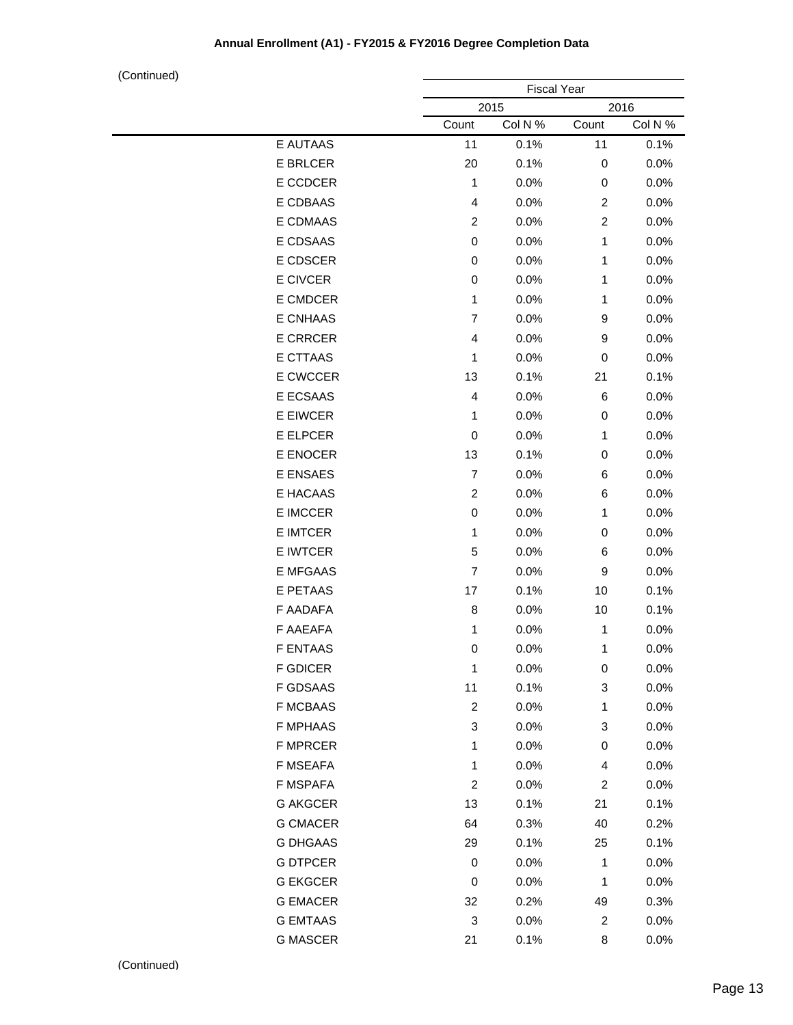|                 | <b>Fiscal Year</b><br>2015<br>2016 |         |                         |         |
|-----------------|------------------------------------|---------|-------------------------|---------|
|                 |                                    |         |                         |         |
|                 | Count                              | Col N % | Count                   | Col N % |
| E AUTAAS        | 11                                 | 0.1%    | 11                      | 0.1%    |
| E BRLCER        | 20                                 | 0.1%    | 0                       | 0.0%    |
| E CCDCER        | $\mathbf{1}$                       | 0.0%    | 0                       | 0.0%    |
| E CDBAAS        | 4                                  | 0.0%    | 2                       | 0.0%    |
| E CDMAAS        | $\overline{c}$                     | 0.0%    | $\overline{c}$          | 0.0%    |
| E CDSAAS        | 0                                  | 0.0%    | 1                       | 0.0%    |
| E CDSCER        | 0                                  | 0.0%    | 1                       | 0.0%    |
| E CIVCER        | 0                                  | 0.0%    | 1                       | 0.0%    |
| E CMDCER        | $\mathbf{1}$                       | 0.0%    | 1                       | 0.0%    |
| E CNHAAS        | $\overline{7}$                     | 0.0%    | 9                       | 0.0%    |
| <b>E CRRCER</b> | 4                                  | 0.0%    | 9                       | 0.0%    |
| <b>E CTTAAS</b> | 1                                  | 0.0%    | 0                       | 0.0%    |
| E CWCCER        | 13                                 | 0.1%    | 21                      | 0.1%    |
| E ECSAAS        | 4                                  | 0.0%    | 6                       | 0.0%    |
| E EIWCER        | 1                                  | 0.0%    | 0                       | 0.0%    |
| E ELPCER        | $\pmb{0}$                          | 0.0%    | 1                       | 0.0%    |
| E ENOCER        | 13                                 | 0.1%    | 0                       | 0.0%    |
| E ENSAES        | $\overline{7}$                     | 0.0%    | 6                       | 0.0%    |
| E HACAAS        | $\overline{c}$                     | 0.0%    | 6                       | 0.0%    |
| E IMCCER        | $\,0\,$                            | 0.0%    | 1                       | 0.0%    |
| <b>E IMTCER</b> | $\mathbf{1}$                       | 0.0%    | 0                       | 0.0%    |
| E IWTCER        | 5                                  | 0.0%    | 6                       | 0.0%    |
| E MFGAAS        | $\overline{7}$                     | 0.0%    | 9                       | 0.0%    |
| E PETAAS        | 17                                 | 0.1%    | 10                      | 0.1%    |
| F AADAFA        | 8                                  | 0.0%    | 10                      | 0.1%    |
| F AAEAFA        | $\mathbf{1}$                       | 0.0%    | 1                       | 0.0%    |
| <b>F ENTAAS</b> | 0                                  | 0.0%    | 1                       | 0.0%    |
| <b>F GDICER</b> | $\mathbf{1}$                       | 0.0%    | 0                       | 0.0%    |
| <b>F GDSAAS</b> | 11                                 | 0.1%    | 3                       | 0.0%    |
| <b>F MCBAAS</b> | $\boldsymbol{2}$                   | 0.0%    | 1                       | 0.0%    |
| <b>F MPHAAS</b> | $\ensuremath{\mathsf{3}}$          | 0.0%    | 3                       | 0.0%    |
| <b>F MPRCER</b> | $\mathbf{1}$                       | 0.0%    | 0                       | 0.0%    |
| F MSEAFA        | 1                                  | 0.0%    | 4                       | 0.0%    |
| F MSPAFA        | $\overline{c}$                     | 0.0%    | $\overline{\mathbf{c}}$ | 0.0%    |
| <b>G AKGCER</b> | 13                                 | 0.1%    | 21                      | 0.1%    |
| <b>G CMACER</b> | 64                                 | 0.3%    | 40                      | 0.2%    |
| <b>G DHGAAS</b> | 29                                 | 0.1%    | 25                      | 0.1%    |
| <b>G DTPCER</b> | 0                                  | 0.0%    | 1                       | 0.0%    |
| <b>G EKGCER</b> | 0                                  | 0.0%    | 1                       | 0.0%    |
| <b>G EMACER</b> | 32                                 | 0.2%    | 49                      | 0.3%    |
| <b>G EMTAAS</b> | 3                                  | 0.0%    | $\overline{\mathbf{c}}$ | 0.0%    |
| <b>G MASCER</b> | 21                                 | 0.1%    | 8                       | 0.0%    |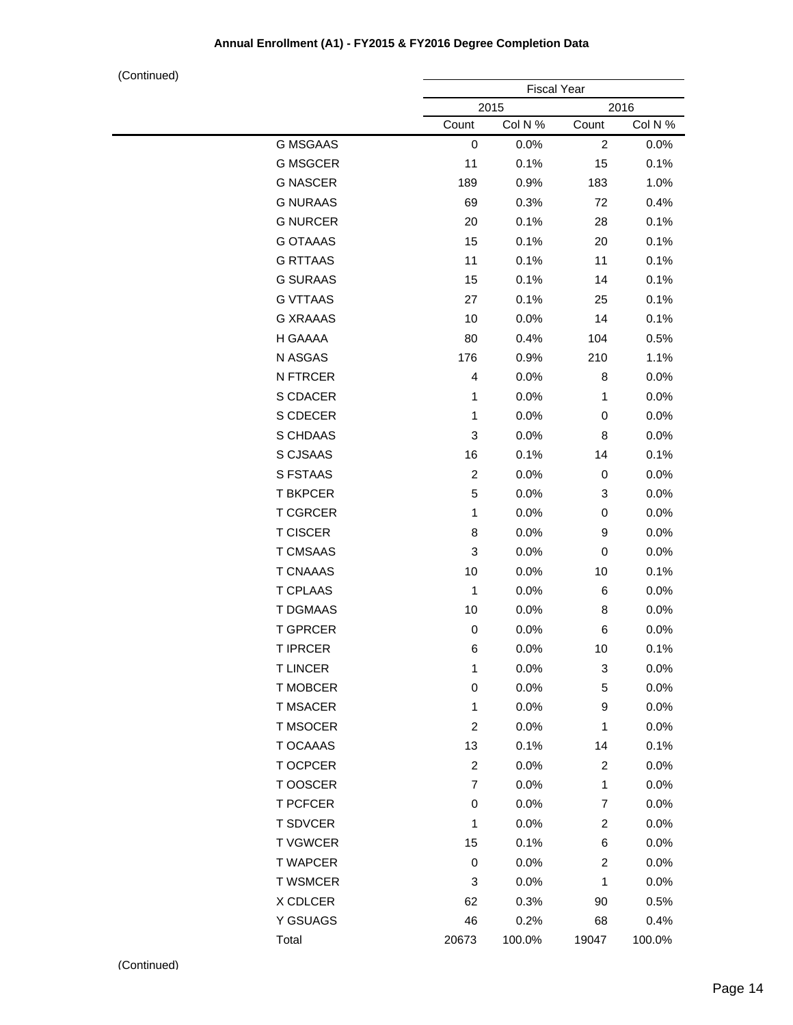|                 |                | <b>Fiscal Year</b> |                         |         |  |
|-----------------|----------------|--------------------|-------------------------|---------|--|
|                 |                | 2015               |                         | 2016    |  |
|                 | Count          | Col N %            | Count                   | Col N % |  |
| <b>G MSGAAS</b> | $\pmb{0}$      | 0.0%               | $\overline{c}$          | 0.0%    |  |
| <b>G MSGCER</b> | 11             | 0.1%               | 15                      | 0.1%    |  |
| <b>G NASCER</b> | 189            | 0.9%               | 183                     | 1.0%    |  |
| <b>G NURAAS</b> | 69             | 0.3%               | 72                      | 0.4%    |  |
| <b>G NURCER</b> | 20             | 0.1%               | 28                      | 0.1%    |  |
| <b>G OTAAAS</b> | 15             | 0.1%               | 20                      | 0.1%    |  |
| <b>G RTTAAS</b> | 11             | 0.1%               | 11                      | 0.1%    |  |
| <b>G SURAAS</b> | 15             | 0.1%               | 14                      | 0.1%    |  |
| <b>G VTTAAS</b> | 27             | 0.1%               | 25                      | 0.1%    |  |
| <b>G XRAAAS</b> | 10             | 0.0%               | 14                      | 0.1%    |  |
| H GAAAA         | 80             | 0.4%               | 104                     | 0.5%    |  |
| N ASGAS         | 176            | 0.9%               | 210                     | 1.1%    |  |
| N FTRCER        | $\overline{4}$ | 0.0%               | 8                       | 0.0%    |  |
| S CDACER        | $\mathbf{1}$   | 0.0%               | $\mathbf{1}$            | 0.0%    |  |
| S CDECER        | 1              | 0.0%               | 0                       | 0.0%    |  |
| S CHDAAS        | 3              | 0.0%               | 8                       | 0.0%    |  |
| S CJSAAS        | 16             | 0.1%               | 14                      | 0.1%    |  |
| S FSTAAS        | $\overline{c}$ | 0.0%               | 0                       | 0.0%    |  |
| <b>T BKPCER</b> | 5              | 0.0%               | 3                       | 0.0%    |  |
| <b>T CGRCER</b> | $\mathbf{1}$   | 0.0%               | 0                       | 0.0%    |  |
| <b>T CISCER</b> | 8              | 0.0%               | 9                       | 0.0%    |  |
| <b>T CMSAAS</b> | 3              | 0.0%               | 0                       | 0.0%    |  |
| <b>T CNAAAS</b> | 10             | 0.0%               | 10                      | 0.1%    |  |
| <b>T CPLAAS</b> | $\mathbf{1}$   | 0.0%               | 6                       | 0.0%    |  |
| T DGMAAS        | 10             | 0.0%               | 8                       | 0.0%    |  |
| <b>T GPRCER</b> | $\pmb{0}$      | 0.0%               | 6                       | 0.0%    |  |
| <b>T IPRCER</b> | 6              | 0.0%               | 10                      | 0.1%    |  |
| <b>TLINCER</b>  | $\mathbf{1}$   | 0.0%               | 3                       | 0.0%    |  |
| <b>T MOBCER</b> | $\,0\,$        | 0.0%               | 5                       | 0.0%    |  |
| <b>T MSACER</b> | $\mathbf{1}$   | 0.0%               | 9                       | 0.0%    |  |
| <b>T MSOCER</b> | $\overline{c}$ | 0.0%               | 1                       | 0.0%    |  |
| T OCAAAS        | 13             | 0.1%               | 14                      | 0.1%    |  |
| T OCPCER        | $\overline{2}$ | 0.0%               | 2                       | 0.0%    |  |
| T OOSCER        | $\overline{7}$ | 0.0%               | 1                       | 0.0%    |  |
| <b>T PCFCER</b> | 0              | 0.0%               | 7                       | 0.0%    |  |
| <b>T SDVCER</b> | 1              | 0.0%               | $\overline{\mathbf{c}}$ | 0.0%    |  |
| <b>TVGWCER</b>  | 15             | 0.1%               | 6                       | 0.0%    |  |
| <b>T WAPCER</b> | 0              | 0.0%               | $\overline{\mathbf{c}}$ | 0.0%    |  |
| <b>T WSMCER</b> | 3              | 0.0%               | 1                       | 0.0%    |  |
| X CDLCER        | 62             | 0.3%               | 90                      | 0.5%    |  |
| Y GSUAGS        | 46             | 0.2%               | 68                      | 0.4%    |  |
| Total           | 20673          | 100.0%             | 19047                   | 100.0%  |  |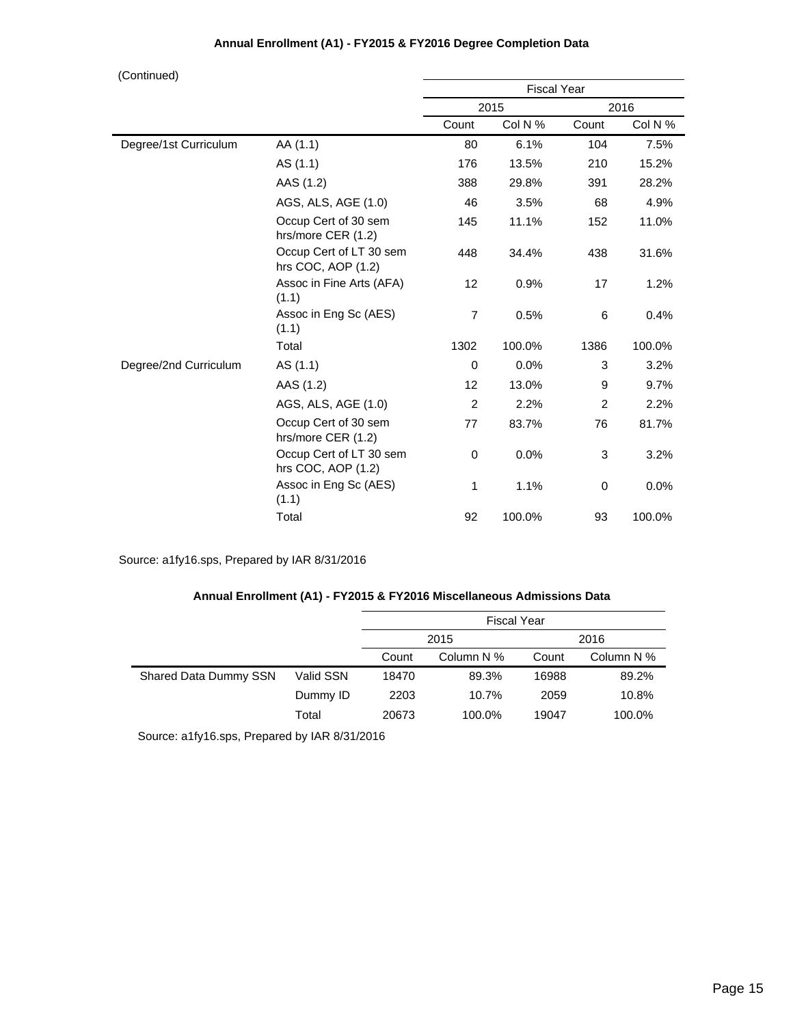| (Continued)           |                                               |                    |         |                |         |  |
|-----------------------|-----------------------------------------------|--------------------|---------|----------------|---------|--|
|                       |                                               | <b>Fiscal Year</b> |         |                |         |  |
|                       |                                               | 2015               |         |                | 2016    |  |
|                       |                                               | Count              | Col N % | Count          | Col N % |  |
| Degree/1st Curriculum | AA (1.1)                                      | 80                 | 6.1%    | 104            | 7.5%    |  |
|                       | AS (1.1)                                      | 176                | 13.5%   | 210            | 15.2%   |  |
|                       | AAS (1.2)                                     | 388                | 29.8%   | 391            | 28.2%   |  |
|                       | AGS, ALS, AGE (1.0)                           | 46                 | 3.5%    | 68             | 4.9%    |  |
|                       | Occup Cert of 30 sem<br>hrs/more CER (1.2)    | 145                | 11.1%   | 152            | 11.0%   |  |
|                       | Occup Cert of LT 30 sem<br>hrs COC, AOP (1.2) | 448                | 34.4%   | 438            | 31.6%   |  |
|                       | Assoc in Fine Arts (AFA)<br>(1.1)             | 12                 | 0.9%    | 17             | 1.2%    |  |
|                       | Assoc in Eng Sc (AES)<br>(1.1)                | $\overline{7}$     | 0.5%    | 6              | 0.4%    |  |
|                       | Total                                         | 1302               | 100.0%  | 1386           | 100.0%  |  |
| Degree/2nd Curriculum | AS (1.1)                                      | $\mathbf 0$        | 0.0%    | 3              | 3.2%    |  |
|                       | AAS (1.2)                                     | 12                 | 13.0%   | 9              | 9.7%    |  |
|                       | AGS, ALS, AGE (1.0)                           | $\overline{2}$     | 2.2%    | $\overline{2}$ | 2.2%    |  |
|                       | Occup Cert of 30 sem<br>hrs/more CER (1.2)    | 77                 | 83.7%   | 76             | 81.7%   |  |
|                       | Occup Cert of LT 30 sem<br>hrs COC, AOP (1.2) | $\mathbf 0$        | 0.0%    | 3              | 3.2%    |  |
|                       | Assoc in Eng Sc (AES)<br>(1.1)                | 1                  | 1.1%    | 0              | 0.0%    |  |
|                       | Total                                         | 92                 | 100.0%  | 93             | 100.0%  |  |

Source: a1fy16.sps, Prepared by IAR 8/31/2016

#### **Annual Enrollment (A1) - FY2015 & FY2016 Miscellaneous Admissions Data**

|                       |           | <b>Fiscal Year</b> |            |       |            |  |
|-----------------------|-----------|--------------------|------------|-------|------------|--|
|                       |           | 2015               |            |       | 2016       |  |
|                       |           | Count              | Column N % | Count | Column N % |  |
| Shared Data Dummy SSN | Valid SSN | 18470              | 89.3%      | 16988 | 89.2%      |  |
|                       | Dummy ID  | 2203               | 10.7%      | 2059  | 10.8%      |  |
|                       | Total     | 20673              | 100.0%     | 19047 | 100.0%     |  |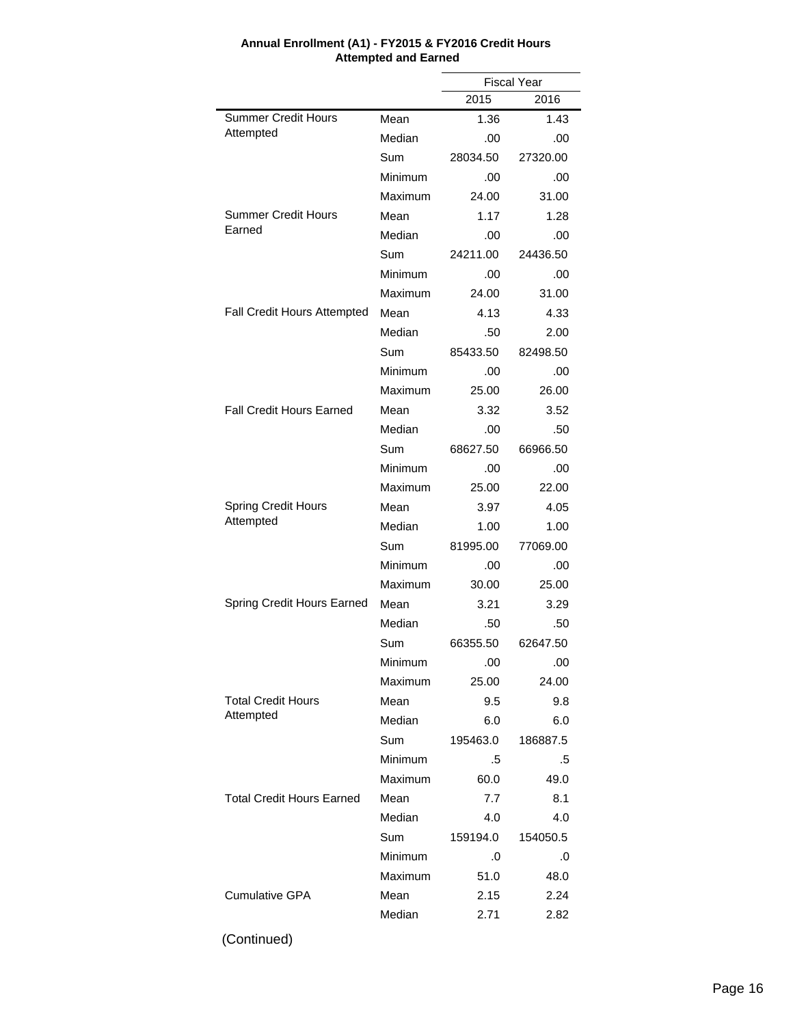|                                  |         | <b>Fiscal Year</b> |          |  |
|----------------------------------|---------|--------------------|----------|--|
|                                  |         | 2015               | 2016     |  |
| <b>Summer Credit Hours</b>       | Mean    | 1.36               | 1.43     |  |
| Attempted                        | Median  | .00                | .00      |  |
|                                  | Sum     | 28034.50           | 27320.00 |  |
|                                  | Minimum | .00                | .00      |  |
|                                  | Maximum | 24.00              | 31.00    |  |
| <b>Summer Credit Hours</b>       | Mean    | 1.17               | 1.28     |  |
| Earned                           | Median  | .00                | .00      |  |
|                                  | Sum     | 24211.00           | 24436.50 |  |
|                                  | Minimum | .00                | .00      |  |
|                                  | Maximum | 24.00              | 31.00    |  |
| Fall Credit Hours Attempted      | Mean    | 4.13               | 4.33     |  |
|                                  | Median  | .50                | 2.00     |  |
|                                  | Sum     | 85433.50           | 82498.50 |  |
|                                  | Minimum | .00                | .00      |  |
|                                  | Maximum | 25.00              | 26.00    |  |
| <b>Fall Credit Hours Earned</b>  | Mean    | 3.32               | 3.52     |  |
|                                  | Median  | .00                | .50      |  |
|                                  | Sum     | 68627.50           | 66966.50 |  |
|                                  | Minimum | .00                | .00      |  |
|                                  | Maximum | 25.00              | 22.00    |  |
| <b>Spring Credit Hours</b>       | Mean    | 3.97               | 4.05     |  |
| Attempted                        | Median  | 1.00               | 1.00     |  |
|                                  | Sum     | 81995.00           | 77069.00 |  |
|                                  | Minimum | .00                | .00      |  |
|                                  | Maximum | 30.00              | 25.00    |  |
| Spring Credit Hours Earned       | Mean    | 3.21               | 3.29     |  |
|                                  | Median  | .50                | .50      |  |
|                                  | Sum     | 66355.50           | 62647.50 |  |
|                                  | Minimum | .00                | .00      |  |
|                                  | Maximum | 25.00              | 24.00    |  |
| <b>Total Credit Hours</b>        | Mean    | 9.5                | 9.8      |  |
| Attempted                        | Median  | 6.0                | 6.0      |  |
|                                  | Sum     | 195463.0           | 186887.5 |  |
|                                  | Minimum | .5                 | .5       |  |
|                                  | Maximum | 60.0               | 49.0     |  |
| <b>Total Credit Hours Earned</b> | Mean    | 7.7                | 8.1      |  |
|                                  | Median  | 4.0                | 4.0      |  |
|                                  | Sum     | 159194.0           | 154050.5 |  |
|                                  | Minimum | .0                 | .0       |  |
|                                  | Maximum | 51.0               | 48.0     |  |
| <b>Cumulative GPA</b>            | Mean    | 2.15               | 2.24     |  |
|                                  | Median  | 2.71               | 2.82     |  |
|                                  |         |                    |          |  |

#### **Annual Enrollment (A1) - FY2015 & FY2016 Credit Hours Attempted and Earned**